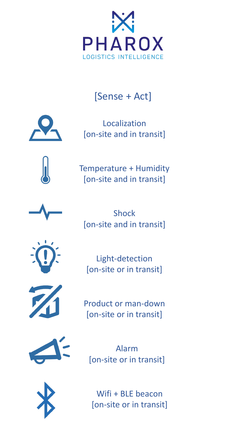

## [Sense + Act]



Localization [on-site and in transit]



Temperature + Humidity [on-site and in transit]



Shock [on-site and in transit]



Light-detection [on-site or in transit]



Product or man-down [on-site or in transit]



Alarm [on-site or in transit]



Wifi + BLE beacon [on-site or in transit]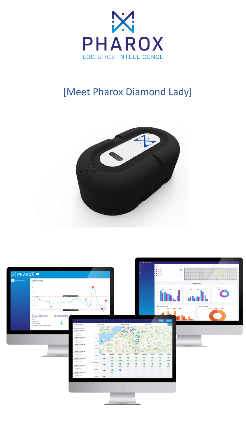

## [Meet Pharox Diamond Lady]